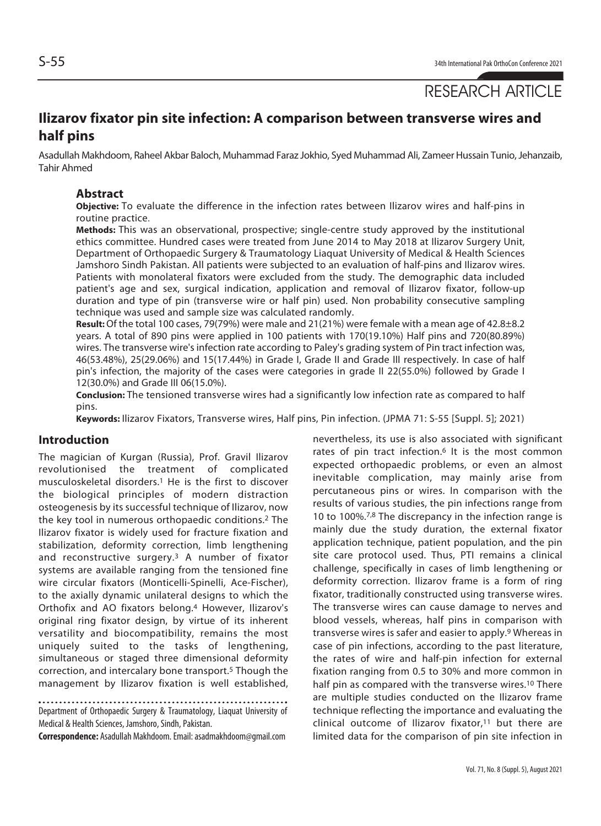# RESEARCH ARTICLE

## **Ilizarov fixator pin site infection: A comparison between transverse wires and half pins**

Asadullah Makhdoom, Raheel Akbar Baloch, Muhammad Faraz Jokhio, Syed Muhammad Ali, Zameer Hussain Tunio, Jehanzaib, Tahir Ahmed

#### **Abstract**

**Objective:** To evaluate the difference in the infection rates between Ilizarov wires and half-pins in routine practice.

**Methods:** This was an observational, prospective; single-centre study approved by the institutional ethics committee. Hundred cases were treated from June 2014 to May 2018 at Ilizarov Surgery Unit, Department of Orthopaedic Surgery & Traumatology Liaquat University of Medical & Health Sciences Jamshoro Sindh Pakistan. All patients were subjected to an evaluation of half-pins and Ilizarov wires. Patients with monolateral fixators were excluded from the study. The demographic data included patient's age and sex, surgical indication, application and removal of Ilizarov fixator, follow-up duration and type of pin (transverse wire or half pin) used. Non probability consecutive sampling technique was used and sample size was calculated randomly.

**Result:** Of the total 100 cases, 79(79%) were male and 21(21%) were female with a mean age of 42.8±8.2 years. A total of 890 pins were applied in 100 patients with 170(19.10%) Half pins and 720(80.89%) wires. The transverse wire's infection rate according to Paley's grading system of Pin tract infection was, 46(53.48%), 25(29.06%) and 15(17.44%) in Grade I, Grade II and Grade III respectively. In case of half pin's infection, the majority of the cases were categories in grade II 22(55.0%) followed by Grade I 12(30.0%) and Grade III 06(15.0%).

**Conclusion:** The tensioned transverse wires had a significantly low infection rate as compared to half pins.

**Keywords:** Ilizarov Fixators, Transverse wires, Half pins, Pin infection. (JPMA 71: S-55 [Suppl. 5]; 2021)

#### **Introduction**

The magician of Kurgan (Russia), Prof. Gravil Ilizarov revolutionised the treatment of complicated musculoskeletal disorders.1 He is the first to discover the biological principles of modern distraction osteogenesis by its successful technique of Ilizarov, now the key tool in numerous orthopaedic conditions.2 The Ilizarov fixator is widely used for fracture fixation and stabilization, deformity correction, limb lengthening and reconstructive surgery.3 A number of fixator systems are available ranging from the tensioned fine wire circular fixators (Monticelli-Spinelli, Ace-Fischer), to the axially dynamic unilateral designs to which the Orthofix and AO fixators belong.4 However, Ilizarov's original ring fixator design, by virtue of its inherent versatility and biocompatibility, remains the most uniquely suited to the tasks of lengthening, simultaneous or staged three dimensional deformity correction, and intercalary bone transport.5 Though the management by Ilizarov fixation is well established,

Department of Orthopaedic Surgery & Traumatology, Liaquat University of Medical & Health Sciences, Jamshoro, Sindh, Pakistan.

**Correspondence:** Asadullah Makhdoom. Email: asadmakhdoom@gmail.com

nevertheless, its use is also associated with significant rates of pin tract infection.<sup>6</sup> It is the most common expected orthopaedic problems, or even an almost inevitable complication, may mainly arise from percutaneous pins or wires. In comparison with the results of various studies, the pin infections range from 10 to 100%.7,8 The discrepancy in the infection range is mainly due the study duration, the external fixator application technique, patient population, and the pin site care protocol used. Thus, PTI remains a clinical challenge, specifically in cases of limb lengthening or deformity correction. Ilizarov frame is a form of ring fixator, traditionally constructed using transverse wires. The transverse wires can cause damage to nerves and blood vessels, whereas, half pins in comparison with transverse wires is safer and easier to apply.9 Whereas in case of pin infections, according to the past literature, the rates of wire and half-pin infection for external fixation ranging from 0.5 to 30% and more common in half pin as compared with the transverse wires.<sup>10</sup> There are multiple studies conducted on the Ilizarov frame technique reflecting the importance and evaluating the clinical outcome of Ilizarov fixator,<sup>11</sup> but there are limited data for the comparison of pin site infection in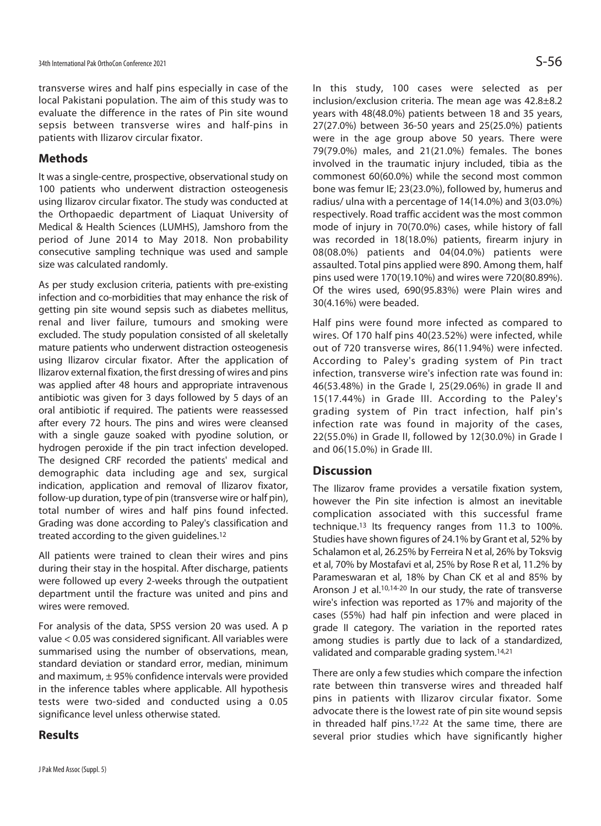transverse wires and half pins especially in case of the local Pakistani population. The aim of this study was to evaluate the difference in the rates of Pin site wound sepsis between transverse wires and half-pins in patients with Ilizarov circular fixator.

### **Methods**

It was a single-centre, prospective, observational study on 100 patients who underwent distraction osteogenesis using Ilizarov circular fixator. The study was conducted at the Orthopaedic department of Liaquat University of Medical & Health Sciences (LUMHS), Jamshoro from the period of June 2014 to May 2018. Non probability consecutive sampling technique was used and sample size was calculated randomly.

As per study exclusion criteria, patients with pre-existing infection and co-morbidities that may enhance the risk of getting pin site wound sepsis such as diabetes mellitus, renal and liver failure, tumours and smoking were excluded. The study population consisted of all skeletally mature patients who underwent distraction osteogenesis using Ilizarov circular fixator. After the application of Ilizarov external fixation, the first dressing of wires and pins was applied after 48 hours and appropriate intravenous antibiotic was given for 3 days followed by 5 days of an oral antibiotic if required. The patients were reassessed after every 72 hours. The pins and wires were cleansed with a single gauze soaked with pyodine solution, or hydrogen peroxide if the pin tract infection developed. The designed CRF recorded the patients' medical and demographic data including age and sex, surgical indication, application and removal of Ilizarov fixator, follow-up duration, type of pin (transverse wire or half pin), total number of wires and half pins found infected. Grading was done according to Paley's classification and treated according to the given guidelines.12

All patients were trained to clean their wires and pins during their stay in the hospital. After discharge, patients were followed up every 2-weeks through the outpatient department until the fracture was united and pins and wires were removed.

For analysis of the data, SPSS version 20 was used. A p value < 0.05 was considered significant. All variables were summarised using the number of observations, mean, standard deviation or standard error, median, minimum and maximum,  $\pm$  95% confidence intervals were provided in the inference tables where applicable. All hypothesis tests were two-sided and conducted using a 0.05 significance level unless otherwise stated.

## **Results**

In this study, 100 cases were selected as per inclusion/exclusion criteria. The mean age was 42.8±8.2 years with 48(48.0%) patients between 18 and 35 years, 27(27.0%) between 36-50 years and 25(25.0%) patients were in the age group above 50 years. There were 79(79.0%) males, and 21(21.0%) females. The bones involved in the traumatic injury included, tibia as the commonest 60(60.0%) while the second most common bone was femur IE; 23(23.0%), followed by, humerus and radius/ ulna with a percentage of 14(14.0%) and 3(03.0%) respectively. Road traffic accident was the most common mode of injury in 70(70.0%) cases, while history of fall was recorded in 18(18.0%) patients, firearm injury in 08(08.0%) patients and 04(04.0%) patients were assaulted. Total pins applied were 890. Among them, half pins used were 170(19.10%) and wires were 720(80.89%). Of the wires used, 690(95.83%) were Plain wires and 30(4.16%) were beaded.

Half pins were found more infected as compared to wires. Of 170 half pins 40(23.52%) were infected, while out of 720 transverse wires, 86(11.94%) were infected. According to Paley's grading system of Pin tract infection, transverse wire's infection rate was found in: 46(53.48%) in the Grade I, 25(29.06%) in grade II and 15(17.44%) in Grade III. According to the Paley's grading system of Pin tract infection, half pin's infection rate was found in majority of the cases, 22(55.0%) in Grade II, followed by 12(30.0%) in Grade I and 06(15.0%) in Grade III.

## **Discussion**

The Ilizarov frame provides a versatile fixation system, however the Pin site infection is almost an inevitable complication associated with this successful frame technique.13 Its frequency ranges from 11.3 to 100%. Studies have shown figures of 24.1% by Grant et al, 52% by Schalamon et al, 26.25% by Ferreira N et al, 26% by Toksvig et al, 70% by Mostafavi et al, 25% by Rose R et al, 11.2% by Parameswaran et al, 18% by Chan CK et al and 85% by Aronson J et al.10,14-20 In our study, the rate of transverse wire's infection was reported as 17% and majority of the cases (55%) had half pin infection and were placed in grade II category. The variation in the reported rates among studies is partly due to lack of a standardized, validated and comparable grading system.14,21

There are only a few studies which compare the infection rate between thin transverse wires and threaded half pins in patients with Ilizarov circular fixator. Some advocate there is the lowest rate of pin site wound sepsis in threaded half pins.<sup>17,22</sup> At the same time, there are several prior studies which have significantly higher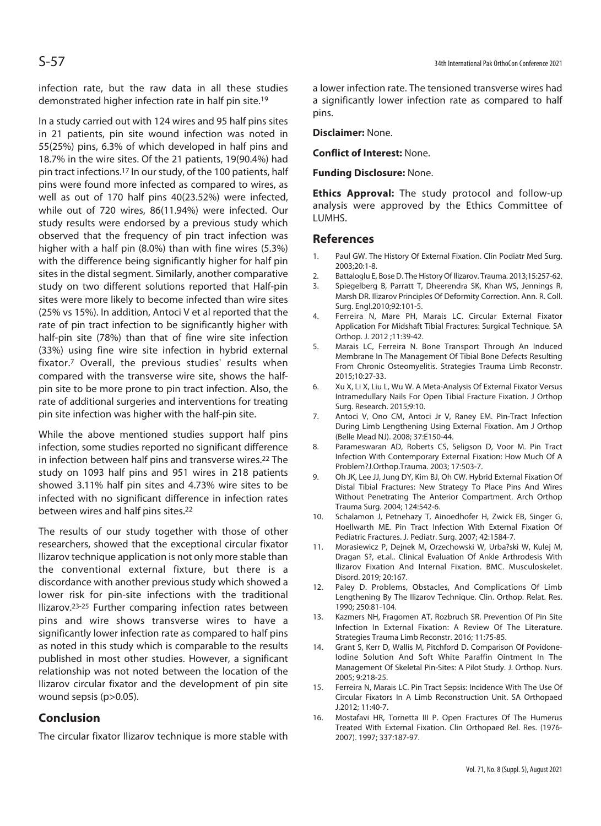infection rate, but the raw data in all these studies demonstrated higher infection rate in half pin site.19

In a study carried out with 124 wires and 95 half pins sites in 21 patients, pin site wound infection was noted in 55(25%) pins, 6.3% of which developed in half pins and 18.7% in the wire sites. Of the 21 patients, 19(90.4%) had pin tract infections.17 In our study, of the 100 patients, half pins were found more infected as compared to wires, as well as out of 170 half pins 40(23.52%) were infected, while out of 720 wires, 86(11.94%) were infected. Our study results were endorsed by a previous study which observed that the frequency of pin tract infection was higher with a half pin (8.0%) than with fine wires (5.3%) with the difference being significantly higher for half pin sites in the distal segment. Similarly, another comparative study on two different solutions reported that Half-pin sites were more likely to become infected than wire sites (25% vs 15%). In addition, Antoci V et al reported that the rate of pin tract infection to be significantly higher with half-pin site (78%) than that of fine wire site infection (33%) using fine wire site infection in hybrid external fixator.7 Overall, the previous studies' results when compared with the transverse wire site, shows the halfpin site to be more prone to pin tract infection. Also, the rate of additional surgeries and interventions for treating pin site infection was higher with the half-pin site.

While the above mentioned studies support half pins infection, some studies reported no significant difference in infection between half pins and transverse wires.22 The study on 1093 half pins and 951 wires in 218 patients showed 3.11% half pin sites and 4.73% wire sites to be infected with no significant difference in infection rates between wires and half pins sites.22

The results of our study together with those of other researchers, showed that the exceptional circular fixator Ilizarov technique application is not only more stable than the conventional external fixture, but there is a discordance with another previous study which showed a lower risk for pin-site infections with the traditional Ilizarov.23-25 Further comparing infection rates between pins and wire shows transverse wires to have a significantly lower infection rate as compared to half pins as noted in this study which is comparable to the results published in most other studies. However, a significant relationship was not noted between the location of the Ilizarov circular fixator and the development of pin site wound sepsis (p>0.05).

## **Conclusion**

The circular fixator Ilizarov technique is more stable with

a lower infection rate. The tensioned transverse wires had a significantly lower infection rate as compared to half pins.

#### **Disclaimer:** None.

#### **Conflict of Interest:** None.

#### **Funding Disclosure:** None.

**Ethics Approval:** The study protocol and follow-up analysis were approved by the Ethics Committee of LUMHS.

#### **References**

- 1. Paul GW. The History Of External Fixation. Clin Podiatr Med Surg. 2003;20:1-8.
- 2. Battaloglu E, Bose D. The History Of Ilizarov. Trauma. 2013;15:257-62.
- 3. Spiegelberg B, Parratt T, Dheerendra SK, Khan WS, Jennings R, Marsh DR. Ilizarov Principles Of Deformity Correction. Ann. R. Coll. Surg. Engl.2010;92:101-5.
- 4. Ferreira N, Mare PH, Marais LC. Circular External Fixator Application For Midshaft Tibial Fractures: Surgical Technique. SA Orthop. J. 2012 ;11:39-42.
- 5. Marais LC, Ferreira N. Bone Transport Through An Induced Membrane In The Management Of Tibial Bone Defects Resulting From Chronic Osteomyelitis. Strategies Trauma Limb Reconstr. 2015;10:27-33.
- 6. Xu X, Li X, Liu L, Wu W. A Meta-Analysis Of External Fixator Versus Intramedullary Nails For Open Tibial Fracture Fixation. J Orthop Surg. Research. 2015;9:10.
- 7. Antoci V, Ono CM, Antoci Jr V, Raney EM. Pin-Tract Infection During Limb Lengthening Using External Fixation. Am J Orthop (Belle Mead NJ). 2008; 37:E150-44.
- 8. Parameswaran AD, Roberts CS, Seligson D, Voor M. Pin Tract Infection With Contemporary External Fixation: How Much Of A Problem?J.Orthop.Trauma. 2003; 17:503-7.
- 9. Oh JK, Lee JJ, Jung DY, Kim BJ, Oh CW. Hybrid External Fixation Of Distal Tibial Fractures: New Strategy To Place Pins And Wires Without Penetrating The Anterior Compartment. Arch Orthop Trauma Surg. 2004; 124:542-6.
- 10. Schalamon J, Petnehazy T, Ainoedhofer H, Zwick EB, Singer G, Hoellwarth ME. Pin Tract Infection With External Fixation Of Pediatric Fractures. J. Pediatr. Surg. 2007; 42:1584-7.
- 11. Morasiewicz P, Dejnek M, Orzechowski W, Urba?ski W, Kulej M, Dragan S?, et.al.. Clinical Evaluation Of Ankle Arthrodesis With Ilizarov Fixation And Internal Fixation. BMC. Musculoskelet. Disord. 2019; 20:167.
- 12. Paley D. Problems, Obstacles, And Complications Of Limb Lengthening By The Ilizarov Technique. Clin. Orthop. Relat. Res. 1990; 250:81-104.
- 13. Kazmers NH, Fragomen AT, Rozbruch SR. Prevention Of Pin Site Infection In External Fixation: A Review Of The Literature. Strategies Trauma Limb Reconstr. 2016; 11:75-85.
- 14. Grant S, Kerr D, Wallis M, Pitchford D. Comparison Of Povidone-Iodine Solution And Soft White Paraffin Ointment In The Management Of Skeletal Pin-Sites: A Pilot Study. J. Orthop. Nurs. 2005; 9:218-25.
- 15. Ferreira N, Marais LC. Pin Tract Sepsis: Incidence With The Use Of Circular Fixators In A Limb Reconstruction Unit. SA Orthopaed J.2012; 11:40-7.
- 16. Mostafavi HR, Tornetta III P. Open Fractures Of The Humerus Treated With External Fixation. Clin Orthopaed Rel. Res. (1976- 2007). 1997; 337:187-97.